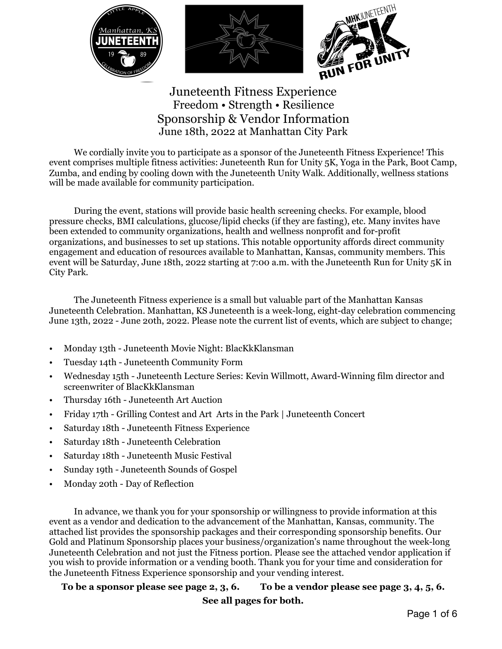

Juneteenth Fitness Experience Freedom • Strength • Resilience Sponsorship & Vendor Information June 18th, 2022 at Manhattan City Park

We cordially invite you to participate as a sponsor of the Juneteenth Fitness Experience! This event comprises multiple fitness activities: Juneteenth Run for Unity 5K, Yoga in the Park, Boot Camp, Zumba, and ending by cooling down with the Juneteenth Unity Walk. Additionally, wellness stations will be made available for community participation.

 During the event, stations will provide basic health screening checks. For example, blood pressure checks, BMI calculations, glucose/lipid checks (if they are fasting), etc. Many invites have been extended to community organizations, health and wellness nonprofit and for-profit organizations, and businesses to set up stations. This notable opportunity affords direct community engagement and education of resources available to Manhattan, Kansas, community members. This event will be Saturday, June 18th, 2022 starting at 7:00 a.m. with the Juneteenth Run for Unity 5K in City Park.

 The Juneteenth Fitness experience is a small but valuable part of the Manhattan Kansas Juneteenth Celebration. Manhattan, KS Juneteenth is a week-long, eight-day celebration commencing June 13th, 2022 - June 20th, 2022. Please note the current list of events, which are subject to change;

- Monday 13th Juneteenth Movie Night: BlacKkKlansman
- Tuesday 14th Juneteenth Community Form
- Wednesday 15th Juneteenth Lecture Series: Kevin Willmott, Award-Winning film director and screenwriter of BlacKkKlansman
- Thursday 16th Juneteenth Art Auction
- Friday 17th Grilling Contest and Art Arts in the Park | Juneteenth Concert
- Saturday 18th Juneteenth Fitness Experience
- Saturday 18th Juneteenth Celebration
- Saturday 18th Juneteenth Music Festival
- Sunday 19th Juneteenth Sounds of Gospel
- Monday 20th Day of Reflection

 In advance, we thank you for your sponsorship or willingness to provide information at this event as a vendor and dedication to the advancement of the Manhattan, Kansas, community. The attached list provides the sponsorship packages and their corresponding sponsorship benefits. Our Gold and Platinum Sponsorship places your business/organization's name throughout the week-long Juneteenth Celebration and not just the Fitness portion. Please see the attached vendor application if you wish to provide information or a vending booth. Thank you for your time and consideration for the Juneteenth Fitness Experience sponsorship and your vending interest.

**To be a sponsor please see page 2, 3, 6. To be a vendor please see page 3, 4, 5, 6.** 

**See all pages for both.**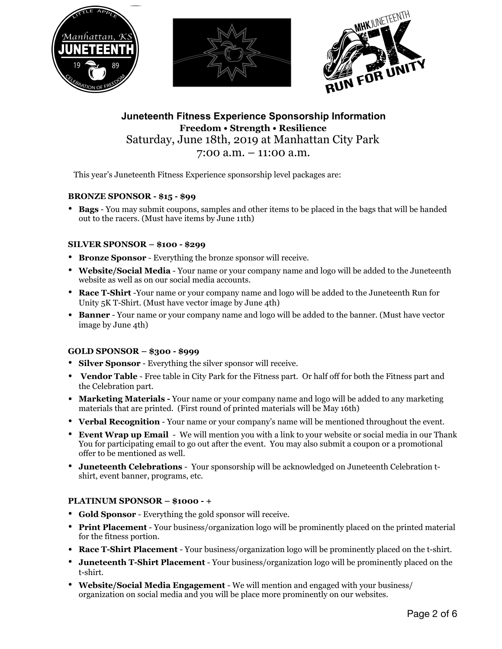

**Juneteenth Fitness Experience Sponsorship Information Freedom • Strength • Resilience**  Saturday, June 18th, 2019 at Manhattan City Park 7:00 a.m. – 11:00 a.m.

This year's Juneteenth Fitness Experience sponsorship level packages are:

#### **BRONZE SPONSOR - \$15 - \$99**

• **Bags** - You may submit coupons, samples and other items to be placed in the bags that will be handed out to the racers. (Must have items by June 11th)

#### **SILVER SPONSOR – \$100 - \$299**

- **Bronze Sponsor** Everything the bronze sponsor will receive.
- **Website/Social Media** Your name or your company name and logo will be added to the Juneteenth website as well as on our social media accounts.
- **Race T-Shirt** -Your name or your company name and logo will be added to the Juneteenth Run for Unity 5K T-Shirt. (Must have vector image by June 4th)
- **Banner** Your name or your company name and logo will be added to the banner. (Must have vector image by June 4th)

#### **GOLD SPONSOR – \$300 - \$999**

- **Silver Sponsor** Everything the silver sponsor will receive.
- **Vendor Table** Free table in City Park for the Fitness part. Or half off for both the Fitness part and the Celebration part.
- **Marketing Materials -** Your name or your company name and logo will be added to any marketing materials that are printed. (First round of printed materials will be May 16th)
- **Verbal Recognition** Your name or your company's name will be mentioned throughout the event.
- **Event Wrap up Email**  We will mention you with a link to your website or social media in our Thank You for participating email to go out after the event. You may also submit a coupon or a promotional offer to be mentioned as well.
- **Juneteenth Celebrations**  Your sponsorship will be acknowledged on Juneteenth Celebration tshirt, event banner, programs, etc.

#### **PLATINUM SPONSOR – \$1000 - +**

- **Gold Sponsor** Everything the gold sponsor will receive.
- **Print Placement** Your business/organization logo will be prominently placed on the printed material for the fitness portion.
- **Race T-Shirt Placement** Your business/organization logo will be prominently placed on the t-shirt.
- **Juneteenth T-Shirt Placement** Your business/organization logo will be prominently placed on the t-shirt.
- **Website/Social Media Engagement**  We will mention and engaged with your business/ organization on social media and you will be place more prominently on our websites.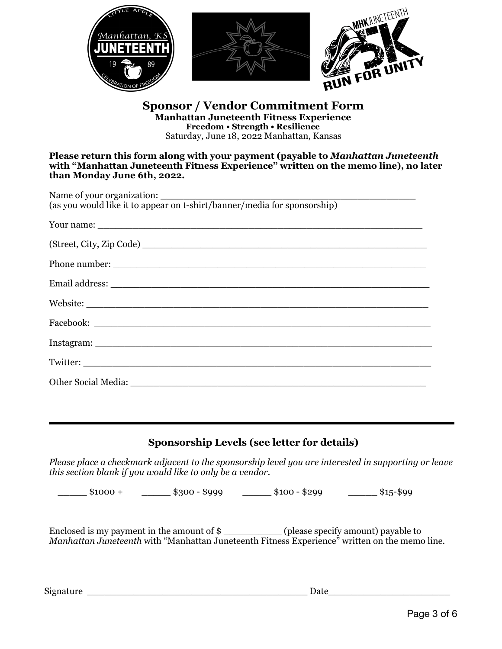

**Sponsor / Vendor Commitment Form Manhattan Juneteenth Fitness Experience Freedom • Strength • Resilience**  Saturday, June 18, 2022 Manhattan, Kansas

**Please return this form along with your payment (payable to** *Manhattan Juneteenth*  **with "Manhattan Juneteenth Fitness Experience" written on the memo line), no later than Monday June 6th, 2022.** 

| Phone number: |
|---------------|
|               |
|               |
|               |
|               |
| Twitter:      |
|               |
|               |

# **Sponsorship Levels (see letter for details)**

*Please place a checkmark adjacent to the sponsorship level you are interested in supporting or leave this section blank if you would like to only be a vendor.* 

 $$1000 + $300 - $999$   $$100 - $299$   $$15-$99$ 

Enclosed is my payment in the amount of \$ \_\_\_\_\_\_\_\_\_\_ (please specify amount) payable to *Manhattan Juneteenth* with "Manhattan Juneteenth Fitness Experience" written on the memo line.

Signature \_\_\_\_\_\_\_\_\_\_\_\_\_\_\_\_\_\_\_\_\_\_\_\_\_\_\_\_\_\_\_\_\_\_\_\_\_\_ Date\_\_\_\_\_\_\_\_\_\_\_\_\_\_\_\_\_\_\_\_\_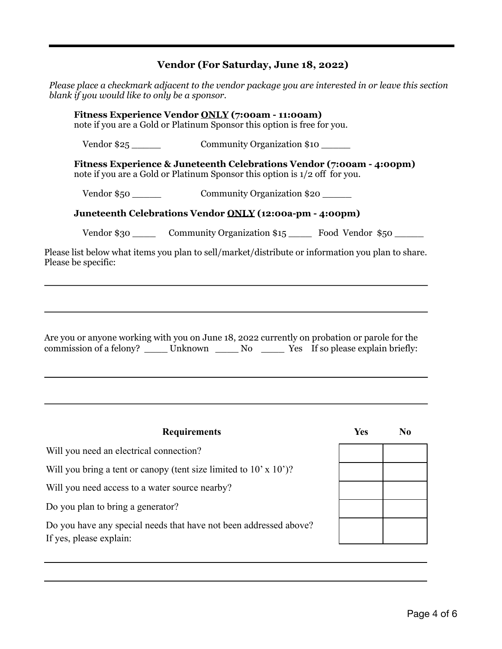# **Vendor (For Saturday, June 18, 2022)**

|                     |                                                                           | Please place a checkmark adjacent to the vendor package you are interested in or leave this section<br>blank if you would like to only be a sponsor.                                      |                                                                                    |                |  |  |  |
|---------------------|---------------------------------------------------------------------------|-------------------------------------------------------------------------------------------------------------------------------------------------------------------------------------------|------------------------------------------------------------------------------------|----------------|--|--|--|
|                     |                                                                           | Fitness Experience Vendor ONLY (7:00am - 11:00am)<br>note if you are a Gold or Platinum Sponsor this option is free for you.                                                              |                                                                                    |                |  |  |  |
|                     | Community Organization \$10                                               |                                                                                                                                                                                           |                                                                                    |                |  |  |  |
|                     |                                                                           | Fitness Experience & Juneteenth Celebrations Vendor (7:00am - 4:00pm)<br>note if you are a Gold or Platinum Sponsor this option is $1/2$ off for you.                                     |                                                                                    |                |  |  |  |
|                     | Vendor \$50 Community Organization \$20                                   |                                                                                                                                                                                           |                                                                                    |                |  |  |  |
|                     |                                                                           | Juneteenth Celebrations Vendor ONLY (12:00a-pm - 4:00pm)                                                                                                                                  |                                                                                    |                |  |  |  |
|                     |                                                                           |                                                                                                                                                                                           | Vendor \$30 ________ Community Organization \$15 ________ Food Vendor \$50 _______ |                |  |  |  |
| Please be specific: |                                                                           | Please list below what items you plan to sell/market/distribute or information you plan to share.                                                                                         |                                                                                    |                |  |  |  |
|                     |                                                                           | Are you or anyone working with you on June 18, 2022 currently on probation or parole for the<br>commission of a felony? ______ Unknown ______ No ______ Yes If so please explain briefly: |                                                                                    |                |  |  |  |
|                     |                                                                           | <b>Requirements</b>                                                                                                                                                                       | <b>Yes</b>                                                                         | N <sub>0</sub> |  |  |  |
|                     | Will you need an electrical connection?                                   |                                                                                                                                                                                           |                                                                                    |                |  |  |  |
|                     | Will you bring a tent or canopy (tent size limited to $10' \times 10'$ )? |                                                                                                                                                                                           |                                                                                    |                |  |  |  |
|                     |                                                                           | Will you need access to a water source nearby?                                                                                                                                            |                                                                                    |                |  |  |  |
|                     | Do you plan to bring a generator?                                         |                                                                                                                                                                                           |                                                                                    |                |  |  |  |
|                     | If yes, please explain:                                                   | Do you have any special needs that have not been addressed above?                                                                                                                         |                                                                                    |                |  |  |  |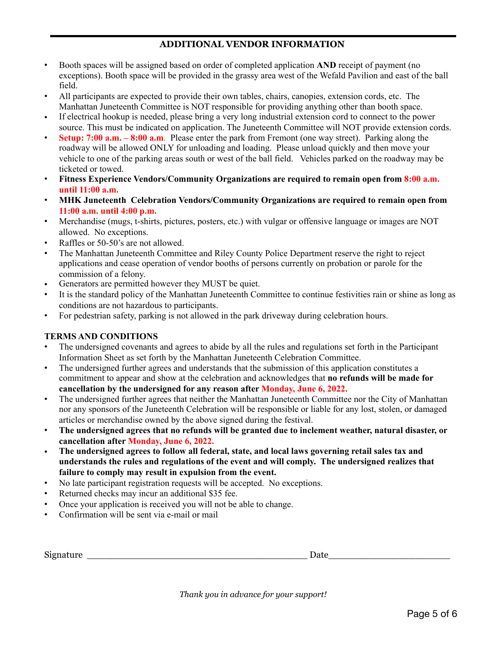# **ADDITIONAL VENDOR INFORMATION**

- Booth spaces will be assigned based on order of completed application **AND** receipt of payment (no exceptions). Booth space will be provided in the grassy area west of the Wefald Pavilion and east of the ball field.
- All participants are expected to provide their own tables, chairs, canopies, extension cords, etc. The Manhattan Juneteenth Committee is NOT responsible for providing anything other than booth space.
- If electrical hookup is needed, please bring a very long industrial extension cord to connect to the power source. This must be indicated on application. The Juneteenth Committee will NOT provide extension cords.
- **Setup: 7:00 a.m. 8:00 a.m**. Please enter the park from Fremont (one way street). Parking along the roadway will be allowed ONLY for unloading and loading. Please unload quickly and then move your vehicle to one of the parking areas south or west of the ball field. Vehicles parked on the roadway may be ticketed or towed.
- **Fitness Experience Vendors/Community Organizations are required to remain open from 8:00 a.m. until 11:00 a.m.**
- **MHK Juneteenth Celebration Vendors/Community Organizations are required to remain open from 11:00 a.m. until 4:00 p.m.**
- Merchandise (mugs, t-shirts, pictures, posters, etc.) with vulgar or offensive language or images are NOT allowed. No exceptions.
- Raffles or 50-50's are not allowed.
- The Manhattan Juneteenth Committee and Riley County Police Department reserve the right to reject applications and cease operation of vendor booths of persons currently on probation or parole for the commission of a felony.
- Generators are permitted however they MUST be quiet.
- It is the standard policy of the Manhattan Juneteenth Committee to continue festivities rain or shine as long as conditions are not hazardous to participants.
- For pedestrian safety, parking is not allowed in the park driveway during celebration hours.

#### **TERMS AND CONDITIONS**

- The undersigned covenants and agrees to abide by all the rules and regulations set forth in the Participant Information Sheet as set forth by the Manhattan Juneteenth Celebration Committee.
- The undersigned further agrees and understands that the submission of this application constitutes a commitment to appear and show at the celebration and acknowledges that **no refunds will be made for cancellation by the undersigned for any reason after Monday, June 6, 2022.**
- The undersigned further agrees that neither the Manhattan Juneteenth Committee nor the City of Manhattan nor any sponsors of the Juneteenth Celebration will be responsible or liable for any lost, stolen, or damaged articles or merchandise owned by the above signed during the festival.
- **The undersigned agrees that no refunds will be granted due to inclement weather, natural disaster, or cancellation after Monday, June 6, 2022.**
- **The undersigned agrees to follow all federal, state, and local laws governing retail sales tax and understands the rules and regulations of the event and will comply. The undersigned realizes that failure to comply may result in expulsion from the event.**
- No late participant registration requests will be accepted. No exceptions.
- Returned checks may incur an additional \$35 fee.
- Once your application is received you will not be able to change.
- Confirmation will be sent via e-mail or mail

| S1g<br>. JAIF<br>$\mathbf{1}$<br>__<br>. . |  |
|--------------------------------------------|--|
|--------------------------------------------|--|